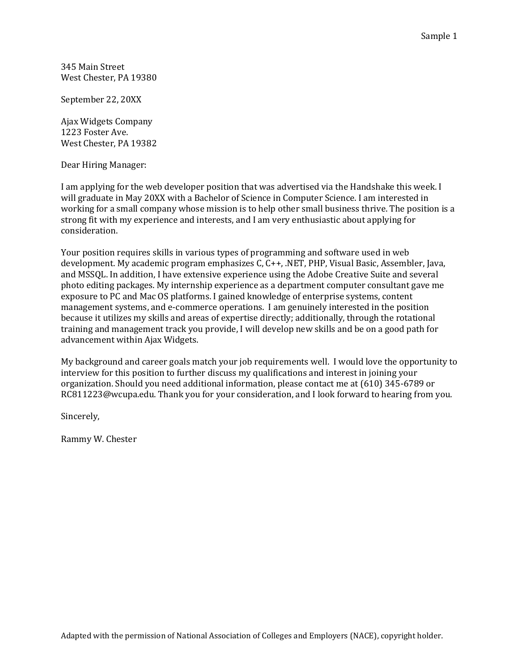345 Main Street West Chester, PA 19380

September 22, 20XX

Ajax Widgets Company 1223 Foster Ave. West Chester, PA 19382

Dear Hiring Manager:

I am applying for the web developer position that was advertised via the Handshake this week. I will graduate in May 20XX with a Bachelor of Science in Computer Science. I am interested in working for a small company whose mission is to help other small business thrive. The position is a strong fit with my experience and interests, and I am very enthusiastic about applying for consideration.

Your position requires skills in various types of programming and software used in web development. My academic program emphasizes C, C++, .NET, PHP, Visual Basic, Assembler, Java, and MSSQL. In addition, I have extensive experience using the Adobe Creative Suite and several photo editing packages. My internship experience as a department computer consultant gave me exposure to PC and Mac OS platforms. I gained knowledge of enterprise systems, content management systems, and e-commerce operations. I am genuinely interested in the position because it utilizes my skills and areas of expertise directly; additionally, through the rotational training and management track you provide, I will develop new skills and be on a good path for advancement within Ajax Widgets.

My background and career goals match your job requirements well. I would love the opportunity to interview for this position to further discuss my qualifications and interest in joining your organization. Should you need additional information, please contact me at (610) 345-6789 or RC811223@wcupa.edu. Thank you for your consideration, and I look forward to hearing from you.

Sincerely,

Rammy W. Chester